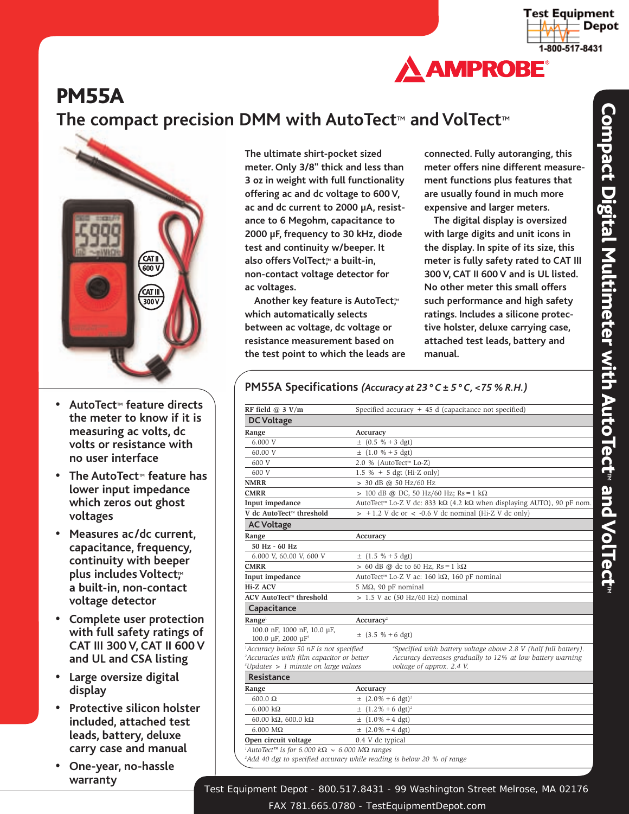



## **PM55A**

### **The compact precision DMM with AutoTect**™ **and VolTect**™



- **• AutoTect**™ **feature directs the meter to know if it is measuring ac volts, dc volts or resistance with no user interface**
- **• The AutoTect**™ **feature has lower input impedance which zeros out ghost voltages**
- **• Measures ac/dc current, capacitance, frequency, continuity with beeper plus includes Voltect**™ **a built-in, non-contact voltage detector**
- **• Complete user protection with full safety ratings of CAT III 300 V, CAT II 600 V and UL and CSA listing**
- **• Large oversize digital display**
- **• Protective silicon holster included, attached test leads, battery, deluxe carry case and manual**
- **• One-year, no-hassle warranty**

**The ultimate shirt-pocket sized meter. Only 3/8" thick and less than 3 oz in weight with full functionality offering ac and dc voltage to 600 V, ac and dc current to 2000 µA, resistance to 6 Megohm, capacitance to 2000 µF, frequency to 30 kHz, diode test and continuity w/beeper. It also offers VolTect,**™ **a built-in, non-contact voltage detector for ac voltages.**

**Another key feature is AutoTect,**™ **which automatically selects between ac voltage, dc voltage or resistance measurement based on the test point to which the leads are** **connected. Fully autoranging, this meter offers nine different measurement functions plus features that are usually found in much more expensive and larger meters.**

**The digital display is oversized with large digits and unit icons in the display. In spite of its size, this meter is fully safety rated to CAT III 300 V, CAT II 600 V and is UL listed. No other meter this small offers such performance and high safety ratings. Includes a silicone protective holster, deluxe carrying case, attached test leads, battery and manual.**

#### **RF field @ 3 V/m** Specified accuracy + 45 d (capacitance not specified) **DC Voltage** Range **Accuracy** 6.000 V  $\pm (0.5 % + 3 dgt)$ 60.00 V  $\pm$  (1.0 % + 5 dgt) 600 V 2.0 % (AutoTect™ Lo-Z) 600 V 1.5 % + 5 dgt (Hi-Z only) **NMRR** > 30 dB @ 50 Hz/60 Hz **CMRR** > 100 dB @ DC, 50 Hz/60 Hz; Rs=1 kΩ **Input impedance** AutoTect™ Lo-Z V dc: 833 kΩ (4.2 kΩ when displaying AUTO), 90 pF nom. **V** dc AutoTect<sup>™</sup> threshold > +1.2 V dc or < -0.6 V dc nominal (Hi-Z V dc only) **AC Voltage** Range **Accuracy 50 Hz - 60 Hz** 6.000 V, 60.00 V, 600 V  $\pm$  (1.5 % + 5 dgt) **CMRR**  $> 60$  dB @ dc to 60 Hz, Rs = 1 kΩ **Input impedance** AutoTect™ Lo-Z V ac: 160 kΩ, 160 pF nominal **Hi-Z ACV** 5 MΩ, 90 pF nominal  $ACV$  **AutoTect**<sup>™</sup> **threshold** > 1.5 V ac (50 Hz/60 Hz) nominal **Capacitance Range**<sup>1</sup> **Accuracy**<sup>2</sup> 100.0 nF, 1000 nF, 10.0 µF, 100.0  $\mu$ F, 2000  $\mu$ F<sup>3</sup>  $\pm$  (3.5 % + 6 dgt) *1 Accuracy below 50 nF is not specified <sup>4</sup> Specified with battery voltage above 2.8 V (half full battery). Accuracies with film capacitor or better Accuracy decreases gradually to 12% at low battery warning voltage of approx. 2.4 V. 3 Updates > 1 minute on large values voltage of approx. 2.4 V.* **Resistance** Range **Accuracy** 600.0 Ω  $\pm (2.0\% + 6 \text{ dgt})^2$ 6.000 kΩ  $\pm (1.2\% + 6 \text{ dgt})^2$ 60.00 kΩ, 600.0 kΩ  $\pm (1.0\% + 4 \text{ dgt})$ 6.000 M $\Omega$   $\pm$  (2.0% +4 dgt) **Open circuit voltage** 0.4 V dc typical *1 AutoTect™ is for 6.000 k*Ω *~ 6.000 M*Ω *ranges 2 Add 40 dgt to specified accuracy while reading is below 20 % of range*

### **PM55A Specifications** *(Accuracy at 23 ° C ± 5 ° C, <75 % R.H.)*

Test Equipment Depot - 800.517.8431 - 99 Washington Street Melrose, MA 02176

FAX 781.665.0780 - TestEquipmentDepot.com